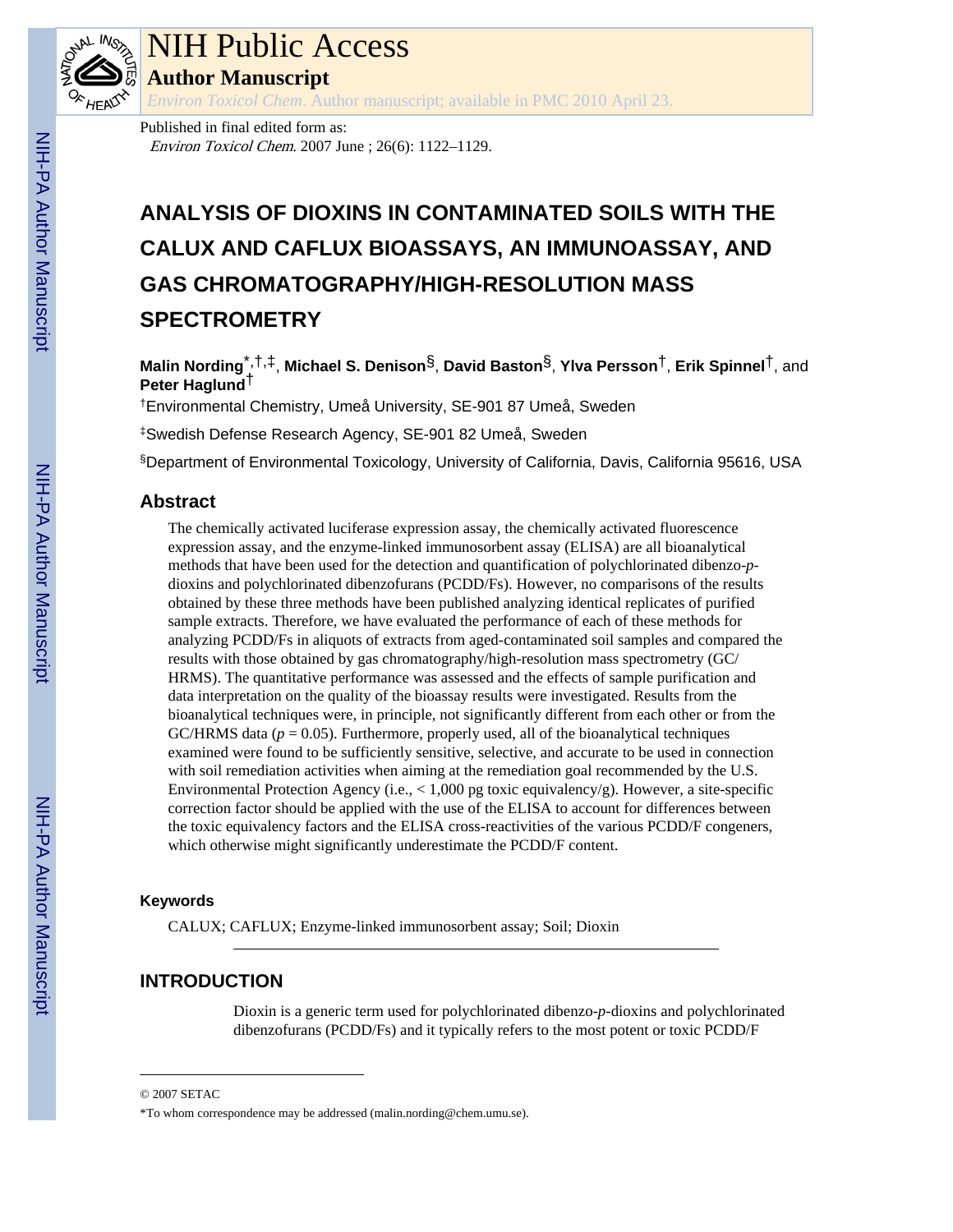

# NIH Public Access

**Author Manuscript**

*Environ Toxicol Chem*. Author manuscript; available in PMC 2010 April 23.

Published in final edited form as: Environ Toxicol Chem. 2007 June ; 26(6): 1122–1129.

# **ANALYSIS OF DIOXINS IN CONTAMINATED SOILS WITH THE CALUX AND CAFLUX BIOASSAYS, AN IMMUNOASSAY, AND GAS CHROMATOGRAPHY/HIGH-RESOLUTION MASS SPECTROMETRY**

**Malin Nording**\*,†,‡, **Michael S. Denison**§, **David Baston**§, **Ylva Persson**†, **Erik Spinnel**†, and **Peter Haglund**†

†Environmental Chemistry, Umeå University, SE-901 87 Umeå, Sweden

‡Swedish Defense Research Agency, SE-901 82 Umeå, Sweden

§Department of Environmental Toxicology, University of California, Davis, California 95616, USA

## **Abstract**

The chemically activated luciferase expression assay, the chemically activated fluorescence expression assay, and the enzyme-linked immunosorbent assay (ELISA) are all bioanalytical methods that have been used for the detection and quantification of polychlorinated dibenzo-*p*dioxins and polychlorinated dibenzofurans (PCDD/Fs). However, no comparisons of the results obtained by these three methods have been published analyzing identical replicates of purified sample extracts. Therefore, we have evaluated the performance of each of these methods for analyzing PCDD/Fs in aliquots of extracts from aged-contaminated soil samples and compared the results with those obtained by gas chromatography/high-resolution mass spectrometry (GC/ HRMS). The quantitative performance was assessed and the effects of sample purification and data interpretation on the quality of the bioassay results were investigated. Results from the bioanalytical techniques were, in principle, not significantly different from each other or from the GC/HRMS data  $(p = 0.05)$ . Furthermore, properly used, all of the bioanalytical techniques examined were found to be sufficiently sensitive, selective, and accurate to be used in connection with soil remediation activities when aiming at the remediation goal recommended by the U.S. Environmental Protection Agency (i.e.,  $\lt 1,000$  pg toxic equivalency/g). However, a site-specific correction factor should be applied with the use of the ELISA to account for differences between the toxic equivalency factors and the ELISA cross-reactivities of the various PCDD/F congeners, which otherwise might significantly underestimate the PCDD/F content.

## **Keywords**

CALUX; CAFLUX; Enzyme-linked immunosorbent assay; Soil; Dioxin

## **INTRODUCTION**

Dioxin is a generic term used for polychlorinated dibenzo-*p*-dioxins and polychlorinated dibenzofurans (PCDD/Fs) and it typically refers to the most potent or toxic PCDD/F

<sup>© 2007</sup> SETAC

<sup>\*</sup>To whom correspondence may be addressed (malin.nording@chem.umu.se).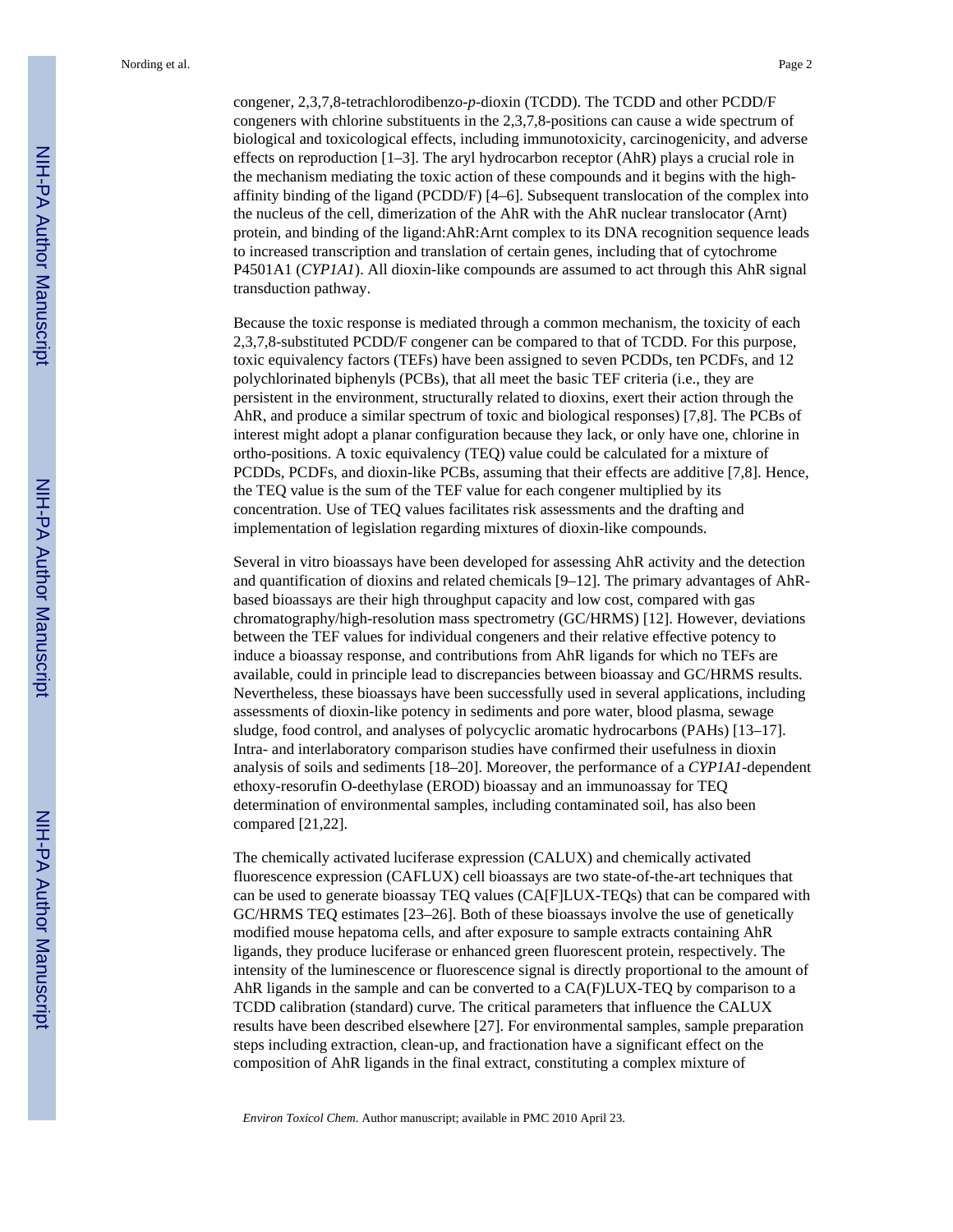Nording et al. Page 2

congener, 2,3,7,8-tetrachlorodibenzo-*p*-dioxin (TCDD). The TCDD and other PCDD/F congeners with chlorine substituents in the 2,3,7,8-positions can cause a wide spectrum of biological and toxicological effects, including immunotoxicity, carcinogenicity, and adverse effects on reproduction [1–3]. The aryl hydrocarbon receptor (AhR) plays a crucial role in the mechanism mediating the toxic action of these compounds and it begins with the highaffinity binding of the ligand (PCDD/F) [4–6]. Subsequent translocation of the complex into the nucleus of the cell, dimerization of the AhR with the AhR nuclear translocator (Arnt) protein, and binding of the ligand:AhR:Arnt complex to its DNA recognition sequence leads to increased transcription and translation of certain genes, including that of cytochrome P4501A1 (*CYP1A1*). All dioxin-like compounds are assumed to act through this AhR signal transduction pathway.

Because the toxic response is mediated through a common mechanism, the toxicity of each 2,3,7,8-substituted PCDD/F congener can be compared to that of TCDD. For this purpose, toxic equivalency factors (TEFs) have been assigned to seven PCDDs, ten PCDFs, and 12 polychlorinated biphenyls (PCBs), that all meet the basic TEF criteria (i.e., they are persistent in the environment, structurally related to dioxins, exert their action through the AhR, and produce a similar spectrum of toxic and biological responses) [7,8]. The PCBs of interest might adopt a planar configuration because they lack, or only have one, chlorine in ortho-positions. A toxic equivalency (TEQ) value could be calculated for a mixture of PCDDs, PCDFs, and dioxin-like PCBs, assuming that their effects are additive [7,8]. Hence, the TEQ value is the sum of the TEF value for each congener multiplied by its concentration. Use of TEQ values facilitates risk assessments and the drafting and implementation of legislation regarding mixtures of dioxin-like compounds.

Several in vitro bioassays have been developed for assessing AhR activity and the detection and quantification of dioxins and related chemicals [9–12]. The primary advantages of AhRbased bioassays are their high throughput capacity and low cost, compared with gas chromatography/high-resolution mass spectrometry (GC/HRMS) [12]. However, deviations between the TEF values for individual congeners and their relative effective potency to induce a bioassay response, and contributions from AhR ligands for which no TEFs are available, could in principle lead to discrepancies between bioassay and GC/HRMS results. Nevertheless, these bioassays have been successfully used in several applications, including assessments of dioxin-like potency in sediments and pore water, blood plasma, sewage sludge, food control, and analyses of polycyclic aromatic hydrocarbons (PAHs) [13–17]. Intra- and interlaboratory comparison studies have confirmed their usefulness in dioxin analysis of soils and sediments [18–20]. Moreover, the performance of a *CYP1A1*-dependent ethoxy-resorufin O-deethylase (EROD) bioassay and an immunoassay for TEQ determination of environmental samples, including contaminated soil, has also been compared [21,22].

The chemically activated luciferase expression (CALUX) and chemically activated fluorescence expression (CAFLUX) cell bioassays are two state-of-the-art techniques that can be used to generate bioassay TEQ values (CA[F]LUX-TEQs) that can be compared with GC/HRMS TEQ estimates [23–26]. Both of these bioassays involve the use of genetically modified mouse hepatoma cells, and after exposure to sample extracts containing AhR ligands, they produce luciferase or enhanced green fluorescent protein, respectively. The intensity of the luminescence or fluorescence signal is directly proportional to the amount of AhR ligands in the sample and can be converted to a CA(F)LUX-TEQ by comparison to a TCDD calibration (standard) curve. The critical parameters that influence the CALUX results have been described elsewhere [27]. For environmental samples, sample preparation steps including extraction, clean-up, and fractionation have a significant effect on the composition of AhR ligands in the final extract, constituting a complex mixture of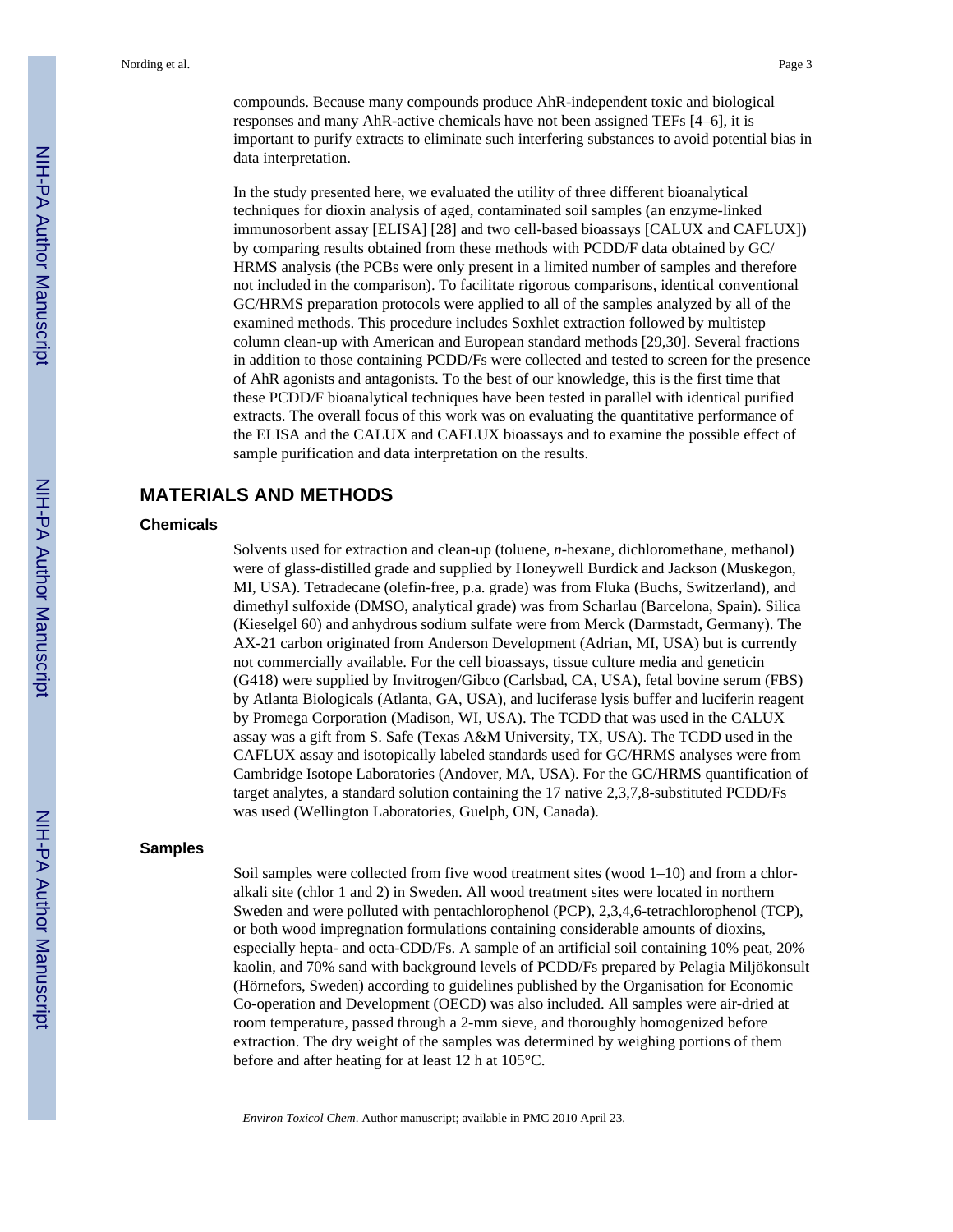compounds. Because many compounds produce AhR-independent toxic and biological responses and many AhR-active chemicals have not been assigned TEFs [4–6], it is important to purify extracts to eliminate such interfering substances to avoid potential bias in data interpretation.

In the study presented here, we evaluated the utility of three different bioanalytical techniques for dioxin analysis of aged, contaminated soil samples (an enzyme-linked immunosorbent assay [ELISA] [28] and two cell-based bioassays [CALUX and CAFLUX]) by comparing results obtained from these methods with PCDD/F data obtained by GC/ HRMS analysis (the PCBs were only present in a limited number of samples and therefore not included in the comparison). To facilitate rigorous comparisons, identical conventional GC/HRMS preparation protocols were applied to all of the samples analyzed by all of the examined methods. This procedure includes Soxhlet extraction followed by multistep column clean-up with American and European standard methods [29,30]. Several fractions in addition to those containing PCDD/Fs were collected and tested to screen for the presence of AhR agonists and antagonists. To the best of our knowledge, this is the first time that these PCDD/F bioanalytical techniques have been tested in parallel with identical purified extracts. The overall focus of this work was on evaluating the quantitative performance of the ELISA and the CALUX and CAFLUX bioassays and to examine the possible effect of sample purification and data interpretation on the results.

## **MATERIALS AND METHODS**

#### **Chemicals**

Solvents used for extraction and clean-up (toluene, *n*-hexane, dichloromethane, methanol) were of glass-distilled grade and supplied by Honeywell Burdick and Jackson (Muskegon, MI, USA). Tetradecane (olefin-free, p.a. grade) was from Fluka (Buchs, Switzerland), and dimethyl sulfoxide (DMSO, analytical grade) was from Scharlau (Barcelona, Spain). Silica (Kieselgel 60) and anhydrous sodium sulfate were from Merck (Darmstadt, Germany). The AX-21 carbon originated from Anderson Development (Adrian, MI, USA) but is currently not commercially available. For the cell bioassays, tissue culture media and geneticin (G418) were supplied by Invitrogen/Gibco (Carlsbad, CA, USA), fetal bovine serum (FBS) by Atlanta Biologicals (Atlanta, GA, USA), and luciferase lysis buffer and luciferin reagent by Promega Corporation (Madison, WI, USA). The TCDD that was used in the CALUX assay was a gift from S. Safe (Texas A&M University, TX, USA). The TCDD used in the CAFLUX assay and isotopically labeled standards used for GC/HRMS analyses were from Cambridge Isotope Laboratories (Andover, MA, USA). For the GC/HRMS quantification of target analytes, a standard solution containing the 17 native 2,3,7,8-substituted PCDD/Fs was used (Wellington Laboratories, Guelph, ON, Canada).

#### **Samples**

Soil samples were collected from five wood treatment sites (wood 1–10) and from a chloralkali site (chlor 1 and 2) in Sweden. All wood treatment sites were located in northern Sweden and were polluted with pentachlorophenol (PCP), 2,3,4,6-tetrachlorophenol (TCP), or both wood impregnation formulations containing considerable amounts of dioxins, especially hepta- and octa-CDD/Fs. A sample of an artificial soil containing 10% peat, 20% kaolin, and 70% sand with background levels of PCDD/Fs prepared by Pelagia Miljökonsult (Hörnefors, Sweden) according to guidelines published by the Organisation for Economic Co-operation and Development (OECD) was also included. All samples were air-dried at room temperature, passed through a 2-mm sieve, and thoroughly homogenized before extraction. The dry weight of the samples was determined by weighing portions of them before and after heating for at least 12 h at 105°C.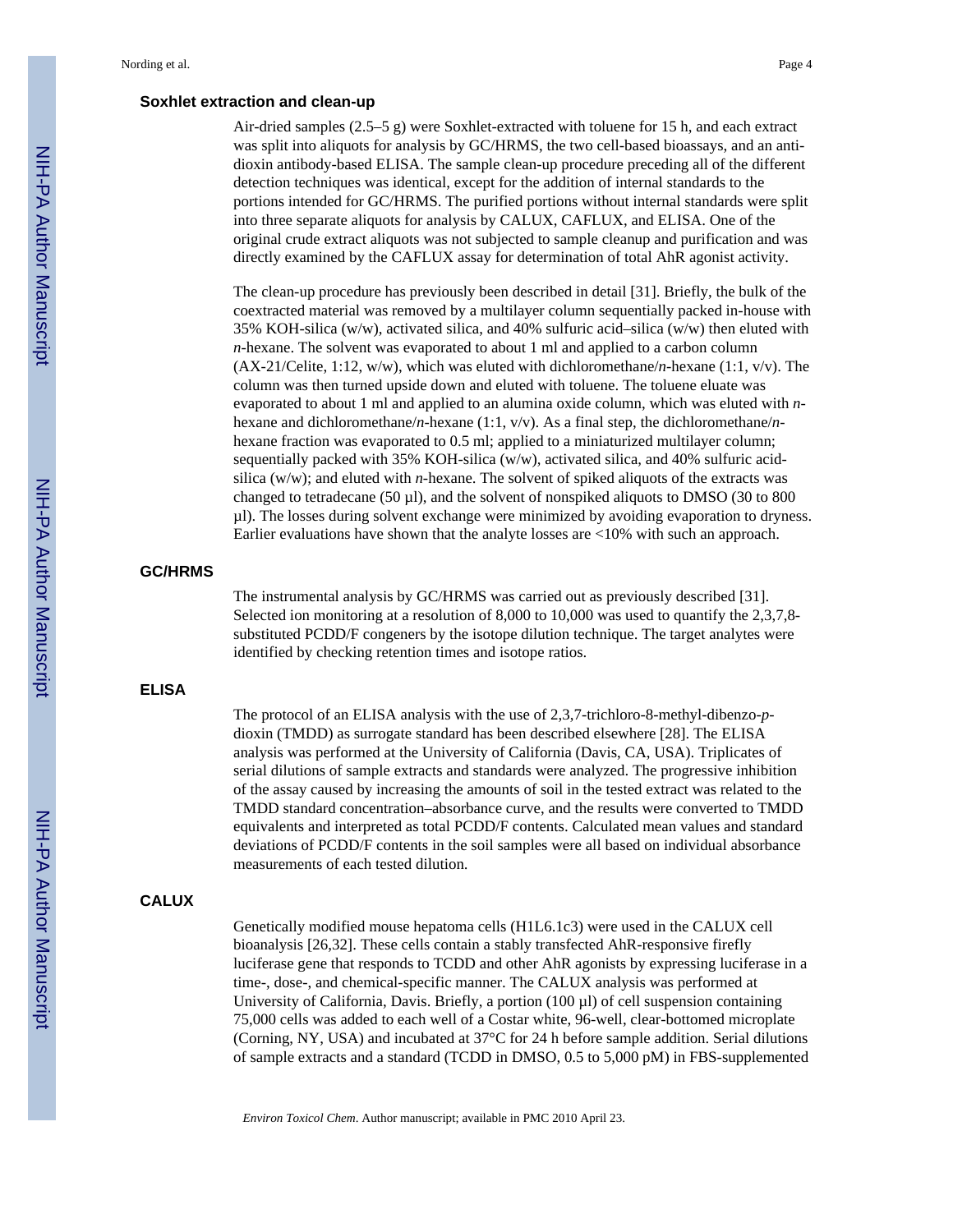### **Soxhlet extraction and clean-up**

Air-dried samples (2.5–5 g) were Soxhlet-extracted with toluene for 15 h, and each extract was split into aliquots for analysis by GC/HRMS, the two cell-based bioassays, and an antidioxin antibody-based ELISA. The sample clean-up procedure preceding all of the different detection techniques was identical, except for the addition of internal standards to the portions intended for GC/HRMS. The purified portions without internal standards were split into three separate aliquots for analysis by CALUX, CAFLUX, and ELISA. One of the original crude extract aliquots was not subjected to sample cleanup and purification and was directly examined by the CAFLUX assay for determination of total AhR agonist activity.

The clean-up procedure has previously been described in detail [31]. Briefly, the bulk of the coextracted material was removed by a multilayer column sequentially packed in-house with 35% KOH-silica (w/w), activated silica, and 40% sulfuric acid–silica (w/w) then eluted with *n*-hexane. The solvent was evaporated to about 1 ml and applied to a carbon column (AX-21/Celite, 1:12, w/w), which was eluted with dichloromethane/*n*-hexane (1:1, v/v). The column was then turned upside down and eluted with toluene. The toluene eluate was evaporated to about 1 ml and applied to an alumina oxide column, which was eluted with *n*hexane and dichloromethane/*n*-hexane (1:1, v/v). As a final step, the dichloromethane/*n*hexane fraction was evaporated to 0.5 ml; applied to a miniaturized multilayer column; sequentially packed with 35% KOH-silica (w/w), activated silica, and 40% sulfuric acidsilica (w/w); and eluted with *n*-hexane. The solvent of spiked aliquots of the extracts was changed to tetradecane (50 µl), and the solvent of nonspiked aliquots to DMSO (30 to 800 µl). The losses during solvent exchange were minimized by avoiding evaporation to dryness. Earlier evaluations have shown that the analyte losses are <10% with such an approach.

### **GC/HRMS**

The instrumental analysis by GC/HRMS was carried out as previously described [31]. Selected ion monitoring at a resolution of 8,000 to 10,000 was used to quantify the 2,3,7,8substituted PCDD/F congeners by the isotope dilution technique. The target analytes were identified by checking retention times and isotope ratios.

#### **ELISA**

The protocol of an ELISA analysis with the use of 2,3,7-trichloro-8-methyl-dibenzo-*p*dioxin (TMDD) as surrogate standard has been described elsewhere [28]. The ELISA analysis was performed at the University of California (Davis, CA, USA). Triplicates of serial dilutions of sample extracts and standards were analyzed. The progressive inhibition of the assay caused by increasing the amounts of soil in the tested extract was related to the TMDD standard concentration–absorbance curve, and the results were converted to TMDD equivalents and interpreted as total PCDD/F contents. Calculated mean values and standard deviations of PCDD/F contents in the soil samples were all based on individual absorbance measurements of each tested dilution.

## **CALUX**

Genetically modified mouse hepatoma cells (H1L6.1c3) were used in the CALUX cell bioanalysis [26,32]. These cells contain a stably transfected AhR-responsive firefly luciferase gene that responds to TCDD and other AhR agonists by expressing luciferase in a time-, dose-, and chemical-specific manner. The CALUX analysis was performed at University of California, Davis. Briefly, a portion  $(100 \,\mu l)$  of cell suspension containing 75,000 cells was added to each well of a Costar white, 96-well, clear-bottomed microplate (Corning, NY, USA) and incubated at 37°C for 24 h before sample addition. Serial dilutions of sample extracts and a standard (TCDD in DMSO, 0.5 to 5,000 pM) in FBS-supplemented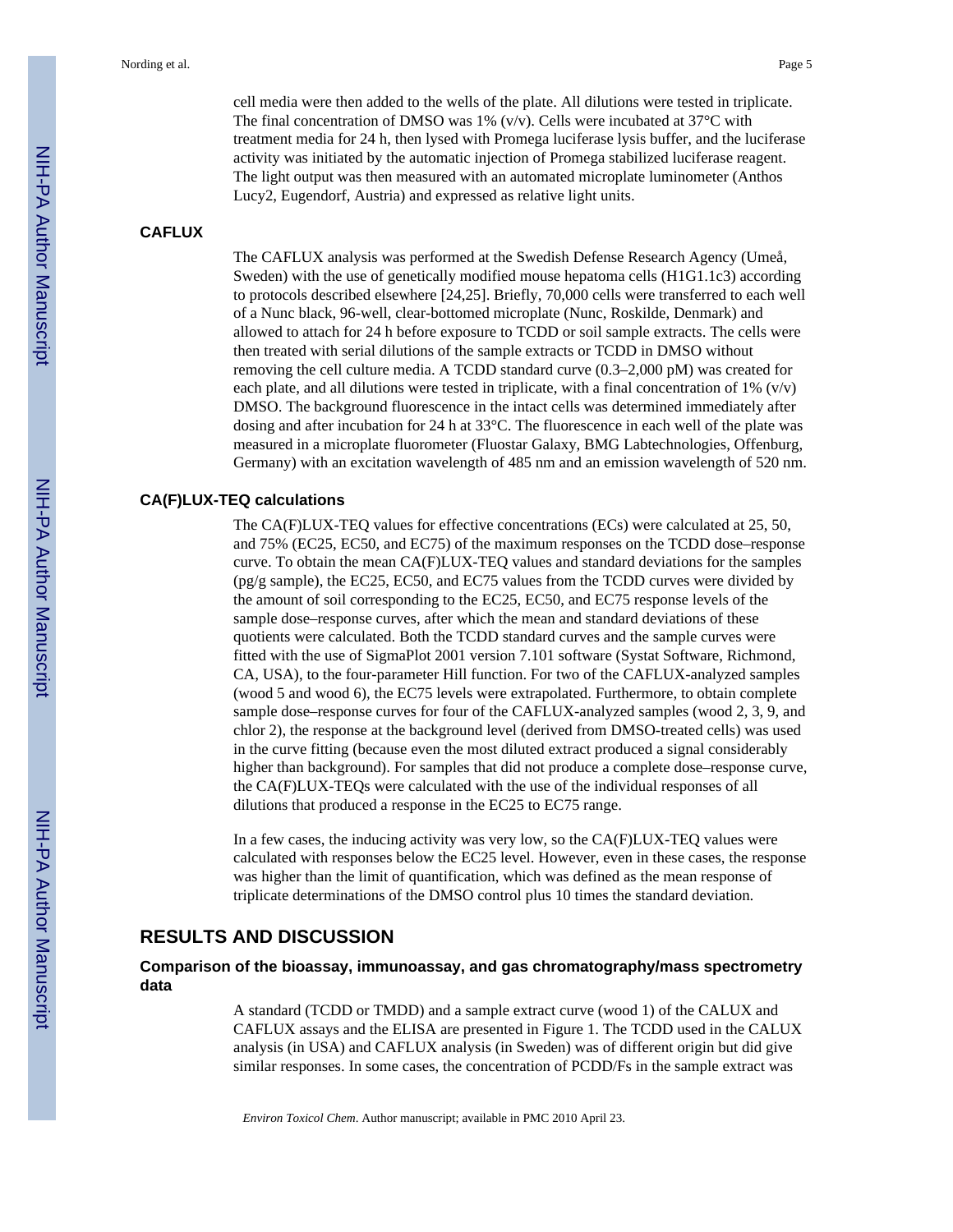cell media were then added to the wells of the plate. All dilutions were tested in triplicate. The final concentration of DMSO was 1% (v/v). Cells were incubated at  $37^{\circ}$ C with treatment media for 24 h, then lysed with Promega luciferase lysis buffer, and the luciferase activity was initiated by the automatic injection of Promega stabilized luciferase reagent. The light output was then measured with an automated microplate luminometer (Anthos Lucy2, Eugendorf, Austria) and expressed as relative light units.

## **CAFLUX**

The CAFLUX analysis was performed at the Swedish Defense Research Agency (Umeå, Sweden) with the use of genetically modified mouse hepatoma cells (H1G1.1c3) according to protocols described elsewhere [24,25]. Briefly, 70,000 cells were transferred to each well of a Nunc black, 96-well, clear-bottomed microplate (Nunc, Roskilde, Denmark) and allowed to attach for 24 h before exposure to TCDD or soil sample extracts. The cells were then treated with serial dilutions of the sample extracts or TCDD in DMSO without removing the cell culture media. A TCDD standard curve (0.3–2,000 pM) was created for each plate, and all dilutions were tested in triplicate, with a final concentration of  $1\%$  (v/v) DMSO. The background fluorescence in the intact cells was determined immediately after dosing and after incubation for 24 h at 33°C. The fluorescence in each well of the plate was measured in a microplate fluorometer (Fluostar Galaxy, BMG Labtechnologies, Offenburg, Germany) with an excitation wavelength of 485 nm and an emission wavelength of 520 nm.

#### **CA(F)LUX-TEQ calculations**

The CA(F)LUX-TEQ values for effective concentrations (ECs) were calculated at 25, 50, and 75% (EC25, EC50, and EC75) of the maximum responses on the TCDD dose–response curve. To obtain the mean CA(F)LUX-TEQ values and standard deviations for the samples (pg/g sample), the EC25, EC50, and EC75 values from the TCDD curves were divided by the amount of soil corresponding to the EC25, EC50, and EC75 response levels of the sample dose–response curves, after which the mean and standard deviations of these quotients were calculated. Both the TCDD standard curves and the sample curves were fitted with the use of SigmaPlot 2001 version 7.101 software (Systat Software, Richmond, CA, USA), to the four-parameter Hill function. For two of the CAFLUX-analyzed samples (wood 5 and wood 6), the EC75 levels were extrapolated. Furthermore, to obtain complete sample dose–response curves for four of the CAFLUX-analyzed samples (wood 2, 3, 9, and chlor 2), the response at the background level (derived from DMSO-treated cells) was used in the curve fitting (because even the most diluted extract produced a signal considerably higher than background). For samples that did not produce a complete dose–response curve, the CA(F)LUX-TEQs were calculated with the use of the individual responses of all dilutions that produced a response in the EC25 to EC75 range.

In a few cases, the inducing activity was very low, so the CA(F)LUX-TEQ values were calculated with responses below the EC25 level. However, even in these cases, the response was higher than the limit of quantification, which was defined as the mean response of triplicate determinations of the DMSO control plus 10 times the standard deviation.

## **RESULTS AND DISCUSSION**

## **Comparison of the bioassay, immunoassay, and gas chromatography/mass spectrometry data**

A standard (TCDD or TMDD) and a sample extract curve (wood 1) of the CALUX and CAFLUX assays and the ELISA are presented in Figure 1. The TCDD used in the CALUX analysis (in USA) and CAFLUX analysis (in Sweden) was of different origin but did give similar responses. In some cases, the concentration of PCDD/Fs in the sample extract was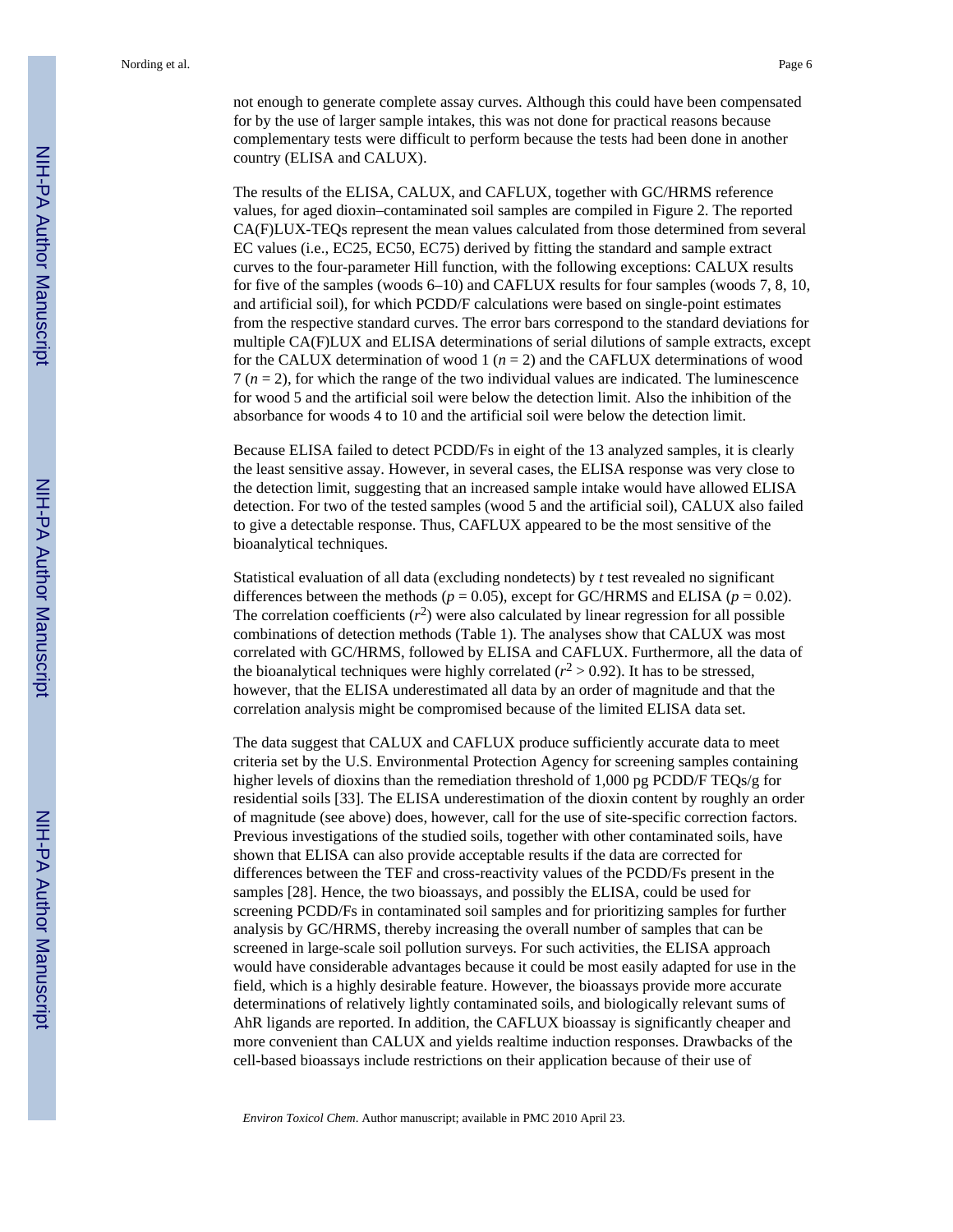not enough to generate complete assay curves. Although this could have been compensated for by the use of larger sample intakes, this was not done for practical reasons because complementary tests were difficult to perform because the tests had been done in another country (ELISA and CALUX).

The results of the ELISA, CALUX, and CAFLUX, together with GC/HRMS reference values, for aged dioxin–contaminated soil samples are compiled in Figure 2. The reported CA(F)LUX-TEQs represent the mean values calculated from those determined from several EC values (i.e., EC25, EC50, EC75) derived by fitting the standard and sample extract curves to the four-parameter Hill function, with the following exceptions: CALUX results for five of the samples (woods 6–10) and CAFLUX results for four samples (woods 7, 8, 10, and artificial soil), for which PCDD/F calculations were based on single-point estimates from the respective standard curves. The error bars correspond to the standard deviations for multiple CA(F)LUX and ELISA determinations of serial dilutions of sample extracts, except for the CALUX determination of wood 1  $(n = 2)$  and the CAFLUX determinations of wood  $7 (n = 2)$ , for which the range of the two individual values are indicated. The luminescence for wood 5 and the artificial soil were below the detection limit. Also the inhibition of the absorbance for woods 4 to 10 and the artificial soil were below the detection limit.

Because ELISA failed to detect PCDD/Fs in eight of the 13 analyzed samples, it is clearly the least sensitive assay. However, in several cases, the ELISA response was very close to the detection limit, suggesting that an increased sample intake would have allowed ELISA detection. For two of the tested samples (wood 5 and the artificial soil), CALUX also failed to give a detectable response. Thus, CAFLUX appeared to be the most sensitive of the bioanalytical techniques.

Statistical evaluation of all data (excluding nondetects) by *t* test revealed no significant differences between the methods ( $p = 0.05$ ), except for GC/HRMS and ELISA ( $p = 0.02$ ). The correlation coefficients  $(r^2)$  were also calculated by linear regression for all possible combinations of detection methods (Table 1). The analyses show that CALUX was most correlated with GC/HRMS, followed by ELISA and CAFLUX. Furthermore, all the data of the bioanalytical techniques were highly correlated  $(r^2 > 0.92)$ . It has to be stressed, however, that the ELISA underestimated all data by an order of magnitude and that the correlation analysis might be compromised because of the limited ELISA data set.

The data suggest that CALUX and CAFLUX produce sufficiently accurate data to meet criteria set by the U.S. Environmental Protection Agency for screening samples containing higher levels of dioxins than the remediation threshold of 1,000 pg PCDD/F TEQs/g for residential soils [33]. The ELISA underestimation of the dioxin content by roughly an order of magnitude (see above) does, however, call for the use of site-specific correction factors. Previous investigations of the studied soils, together with other contaminated soils, have shown that ELISA can also provide acceptable results if the data are corrected for differences between the TEF and cross-reactivity values of the PCDD/Fs present in the samples [28]. Hence, the two bioassays, and possibly the ELISA, could be used for screening PCDD/Fs in contaminated soil samples and for prioritizing samples for further analysis by GC/HRMS, thereby increasing the overall number of samples that can be screened in large-scale soil pollution surveys. For such activities, the ELISA approach would have considerable advantages because it could be most easily adapted for use in the field, which is a highly desirable feature. However, the bioassays provide more accurate determinations of relatively lightly contaminated soils, and biologically relevant sums of AhR ligands are reported. In addition, the CAFLUX bioassay is significantly cheaper and more convenient than CALUX and yields realtime induction responses. Drawbacks of the cell-based bioassays include restrictions on their application because of their use of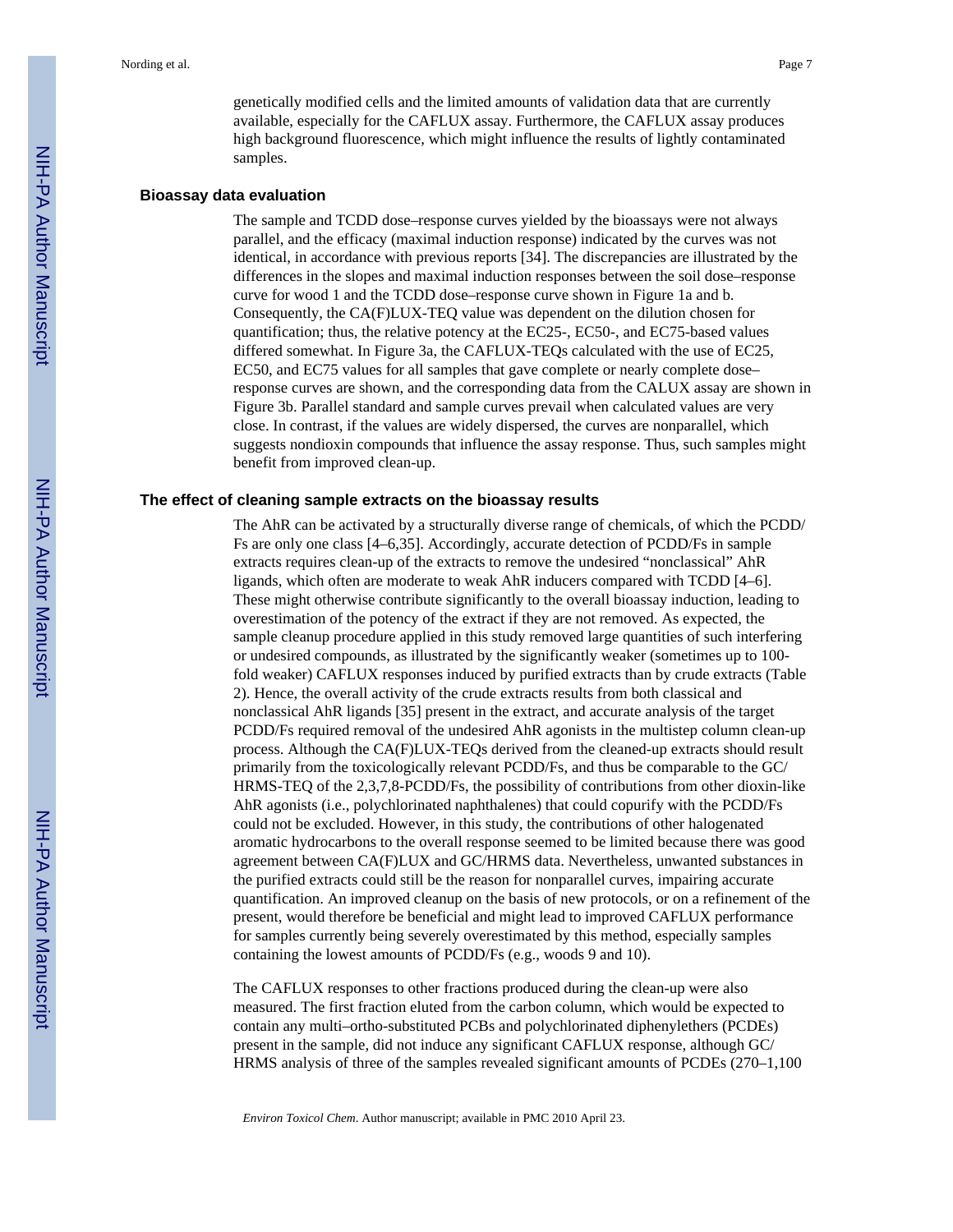genetically modified cells and the limited amounts of validation data that are currently available, especially for the CAFLUX assay. Furthermore, the CAFLUX assay produces high background fluorescence, which might influence the results of lightly contaminated samples.

#### **Bioassay data evaluation**

The sample and TCDD dose–response curves yielded by the bioassays were not always parallel, and the efficacy (maximal induction response) indicated by the curves was not identical, in accordance with previous reports [34]. The discrepancies are illustrated by the differences in the slopes and maximal induction responses between the soil dose–response curve for wood 1 and the TCDD dose–response curve shown in Figure 1a and b. Consequently, the CA(F)LUX-TEQ value was dependent on the dilution chosen for quantification; thus, the relative potency at the EC25-, EC50-, and EC75-based values differed somewhat. In Figure 3a, the CAFLUX-TEQs calculated with the use of EC25, EC50, and EC75 values for all samples that gave complete or nearly complete dose– response curves are shown, and the corresponding data from the CALUX assay are shown in Figure 3b. Parallel standard and sample curves prevail when calculated values are very close. In contrast, if the values are widely dispersed, the curves are nonparallel, which suggests nondioxin compounds that influence the assay response. Thus, such samples might benefit from improved clean-up.

#### **The effect of cleaning sample extracts on the bioassay results**

The AhR can be activated by a structurally diverse range of chemicals, of which the PCDD/ Fs are only one class [4–6,35]. Accordingly, accurate detection of PCDD/Fs in sample extracts requires clean-up of the extracts to remove the undesired "nonclassical" AhR ligands, which often are moderate to weak AhR inducers compared with TCDD [4–6]. These might otherwise contribute significantly to the overall bioassay induction, leading to overestimation of the potency of the extract if they are not removed. As expected, the sample cleanup procedure applied in this study removed large quantities of such interfering or undesired compounds, as illustrated by the significantly weaker (sometimes up to 100 fold weaker) CAFLUX responses induced by purified extracts than by crude extracts (Table 2). Hence, the overall activity of the crude extracts results from both classical and nonclassical AhR ligands [35] present in the extract, and accurate analysis of the target PCDD/Fs required removal of the undesired AhR agonists in the multistep column clean-up process. Although the CA(F)LUX-TEQs derived from the cleaned-up extracts should result primarily from the toxicologically relevant PCDD/Fs, and thus be comparable to the GC/ HRMS-TEQ of the 2,3,7,8-PCDD/Fs, the possibility of contributions from other dioxin-like AhR agonists (i.e., polychlorinated naphthalenes) that could copurify with the PCDD/Fs could not be excluded. However, in this study, the contributions of other halogenated aromatic hydrocarbons to the overall response seemed to be limited because there was good agreement between CA(F)LUX and GC/HRMS data. Nevertheless, unwanted substances in the purified extracts could still be the reason for nonparallel curves, impairing accurate quantification. An improved cleanup on the basis of new protocols, or on a refinement of the present, would therefore be beneficial and might lead to improved CAFLUX performance for samples currently being severely overestimated by this method, especially samples containing the lowest amounts of PCDD/Fs (e.g., woods 9 and 10).

The CAFLUX responses to other fractions produced during the clean-up were also measured. The first fraction eluted from the carbon column, which would be expected to contain any multi–ortho-substituted PCBs and polychlorinated diphenylethers (PCDEs) present in the sample, did not induce any significant CAFLUX response, although GC/ HRMS analysis of three of the samples revealed significant amounts of PCDEs (270–1,100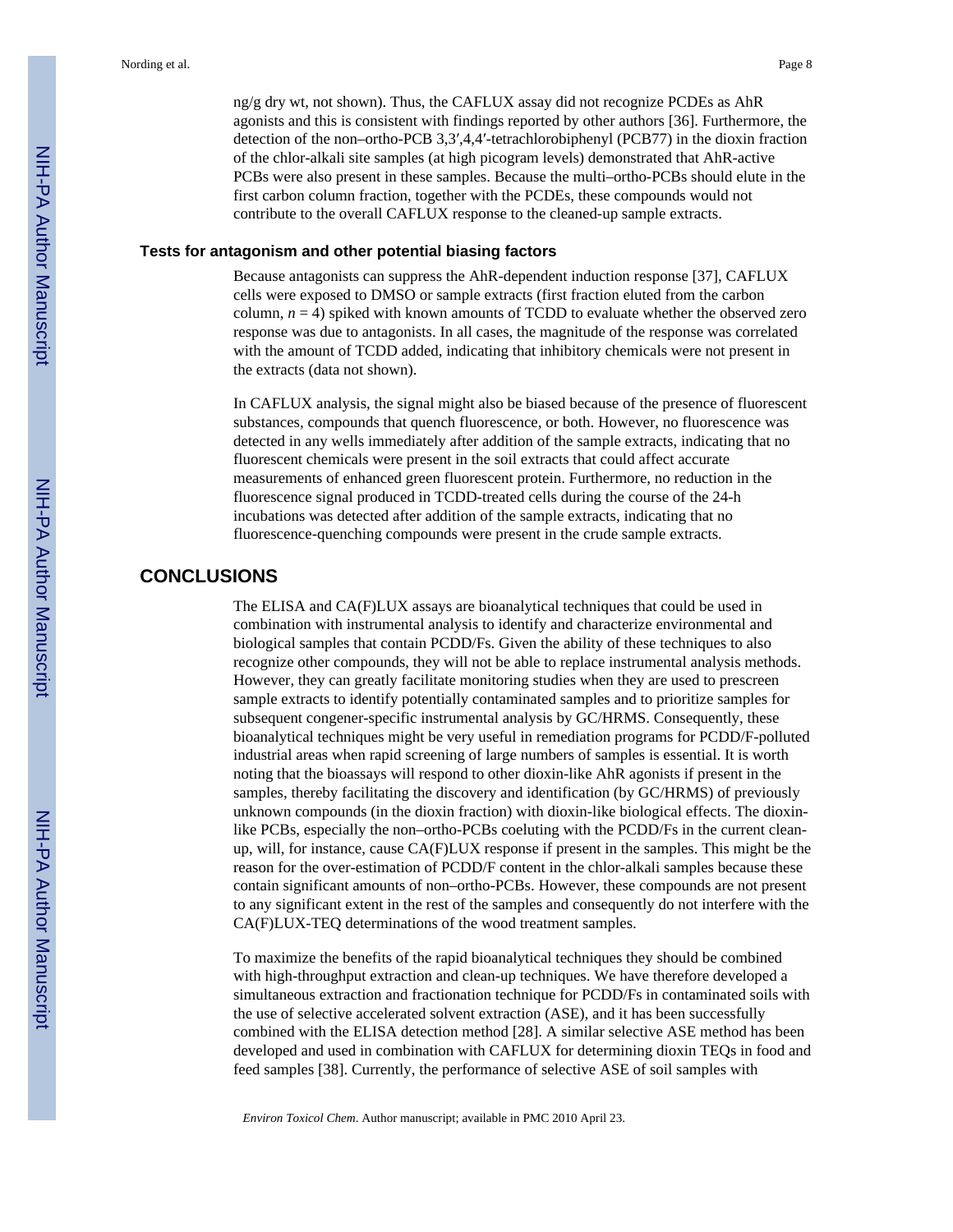ng/g dry wt, not shown). Thus, the CAFLUX assay did not recognize PCDEs as AhR agonists and this is consistent with findings reported by other authors [36]. Furthermore, the detection of the non–ortho-PCB 3,3′,4,4′-tetrachlorobiphenyl (PCB77) in the dioxin fraction of the chlor-alkali site samples (at high picogram levels) demonstrated that AhR-active PCBs were also present in these samples. Because the multi–ortho-PCBs should elute in the first carbon column fraction, together with the PCDEs, these compounds would not contribute to the overall CAFLUX response to the cleaned-up sample extracts.

#### **Tests for antagonism and other potential biasing factors**

Because antagonists can suppress the AhR-dependent induction response [37], CAFLUX cells were exposed to DMSO or sample extracts (first fraction eluted from the carbon column,  $n = 4$ ) spiked with known amounts of TCDD to evaluate whether the observed zero response was due to antagonists. In all cases, the magnitude of the response was correlated with the amount of TCDD added, indicating that inhibitory chemicals were not present in the extracts (data not shown).

In CAFLUX analysis, the signal might also be biased because of the presence of fluorescent substances, compounds that quench fluorescence, or both. However, no fluorescence was detected in any wells immediately after addition of the sample extracts, indicating that no fluorescent chemicals were present in the soil extracts that could affect accurate measurements of enhanced green fluorescent protein. Furthermore, no reduction in the fluorescence signal produced in TCDD-treated cells during the course of the 24-h incubations was detected after addition of the sample extracts, indicating that no fluorescence-quenching compounds were present in the crude sample extracts.

## **CONCLUSIONS**

The ELISA and CA(F)LUX assays are bioanalytical techniques that could be used in combination with instrumental analysis to identify and characterize environmental and biological samples that contain PCDD/Fs. Given the ability of these techniques to also recognize other compounds, they will not be able to replace instrumental analysis methods. However, they can greatly facilitate monitoring studies when they are used to prescreen sample extracts to identify potentially contaminated samples and to prioritize samples for subsequent congener-specific instrumental analysis by GC/HRMS. Consequently, these bioanalytical techniques might be very useful in remediation programs for PCDD/F-polluted industrial areas when rapid screening of large numbers of samples is essential. It is worth noting that the bioassays will respond to other dioxin-like AhR agonists if present in the samples, thereby facilitating the discovery and identification (by GC/HRMS) of previously unknown compounds (in the dioxin fraction) with dioxin-like biological effects. The dioxinlike PCBs, especially the non–ortho-PCBs coeluting with the PCDD/Fs in the current cleanup, will, for instance, cause CA(F)LUX response if present in the samples. This might be the reason for the over-estimation of PCDD/F content in the chlor-alkali samples because these contain significant amounts of non–ortho-PCBs. However, these compounds are not present to any significant extent in the rest of the samples and consequently do not interfere with the CA(F)LUX-TEQ determinations of the wood treatment samples.

To maximize the benefits of the rapid bioanalytical techniques they should be combined with high-throughput extraction and clean-up techniques. We have therefore developed a simultaneous extraction and fractionation technique for PCDD/Fs in contaminated soils with the use of selective accelerated solvent extraction (ASE), and it has been successfully combined with the ELISA detection method [28]. A similar selective ASE method has been developed and used in combination with CAFLUX for determining dioxin TEQs in food and feed samples [38]. Currently, the performance of selective ASE of soil samples with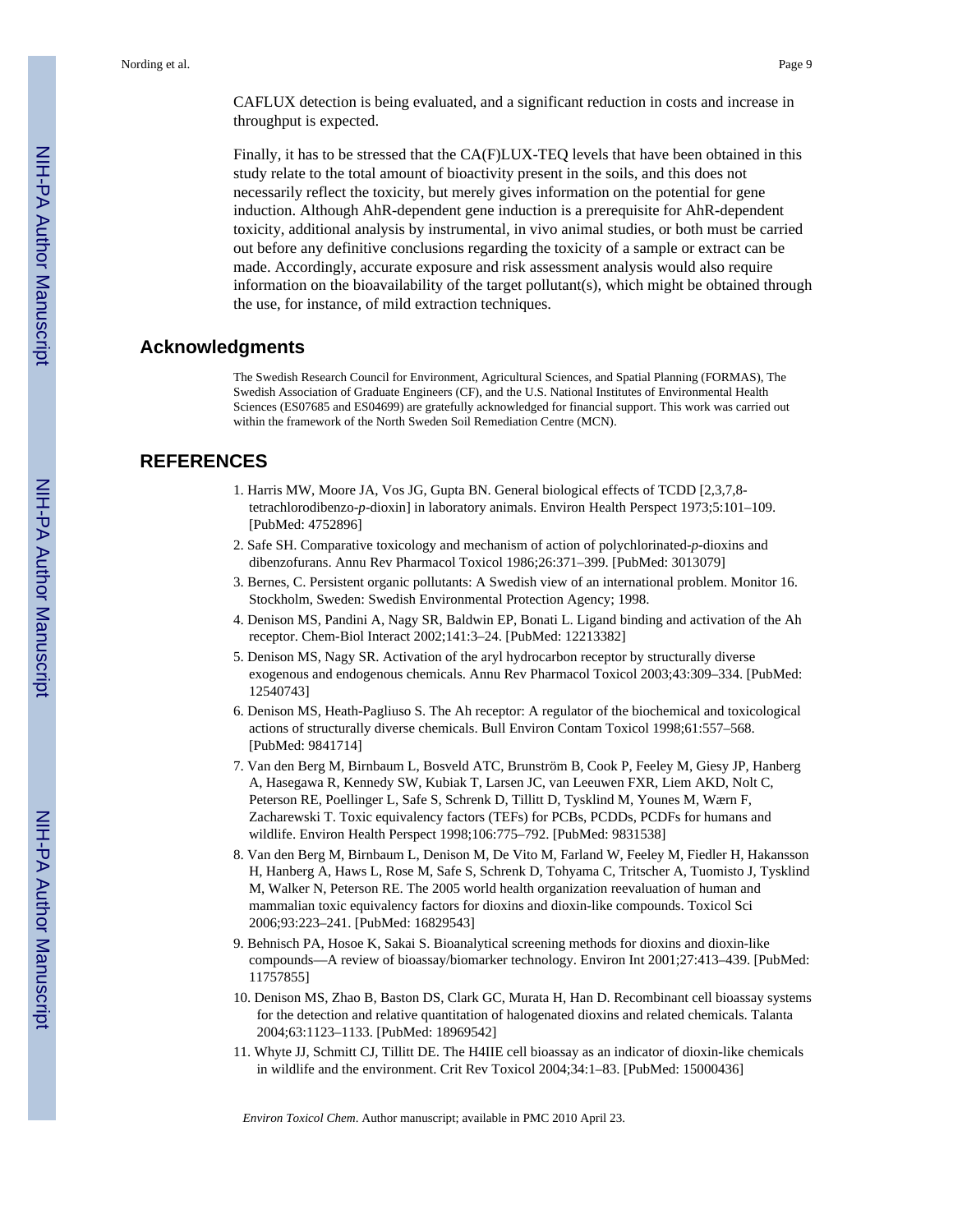CAFLUX detection is being evaluated, and a significant reduction in costs and increase in throughput is expected.

Finally, it has to be stressed that the CA(F)LUX-TEQ levels that have been obtained in this study relate to the total amount of bioactivity present in the soils, and this does not necessarily reflect the toxicity, but merely gives information on the potential for gene induction. Although AhR-dependent gene induction is a prerequisite for AhR-dependent toxicity, additional analysis by instrumental, in vivo animal studies, or both must be carried out before any definitive conclusions regarding the toxicity of a sample or extract can be made. Accordingly, accurate exposure and risk assessment analysis would also require information on the bioavailability of the target pollutant(s), which might be obtained through the use, for instance, of mild extraction techniques.

## **Acknowledgments**

The Swedish Research Council for Environment, Agricultural Sciences, and Spatial Planning (FORMAS), The Swedish Association of Graduate Engineers (CF), and the U.S. National Institutes of Environmental Health Sciences (ES07685 and ES04699) are gratefully acknowledged for financial support. This work was carried out within the framework of the North Sweden Soil Remediation Centre (MCN).

## **REFERENCES**

- 1. Harris MW, Moore JA, Vos JG, Gupta BN. General biological effects of TCDD [2,3,7,8 tetrachlorodibenzo-*p*-dioxin] in laboratory animals. Environ Health Perspect 1973;5:101–109. [PubMed: 4752896]
- 2. Safe SH. Comparative toxicology and mechanism of action of polychlorinated-*p*-dioxins and dibenzofurans. Annu Rev Pharmacol Toxicol 1986;26:371–399. [PubMed: 3013079]
- 3. Bernes, C. Persistent organic pollutants: A Swedish view of an international problem. Monitor 16. Stockholm, Sweden: Swedish Environmental Protection Agency; 1998.
- 4. Denison MS, Pandini A, Nagy SR, Baldwin EP, Bonati L. Ligand binding and activation of the Ah receptor. Chem-Biol Interact 2002;141:3–24. [PubMed: 12213382]
- 5. Denison MS, Nagy SR. Activation of the aryl hydrocarbon receptor by structurally diverse exogenous and endogenous chemicals. Annu Rev Pharmacol Toxicol 2003;43:309–334. [PubMed: 12540743]
- 6. Denison MS, Heath-Pagliuso S. The Ah receptor: A regulator of the biochemical and toxicological actions of structurally diverse chemicals. Bull Environ Contam Toxicol 1998;61:557–568. [PubMed: 9841714]
- 7. Van den Berg M, Birnbaum L, Bosveld ATC, Brunström B, Cook P, Feeley M, Giesy JP, Hanberg A, Hasegawa R, Kennedy SW, Kubiak T, Larsen JC, van Leeuwen FXR, Liem AKD, Nolt C, Peterson RE, Poellinger L, Safe S, Schrenk D, Tillitt D, Tysklind M, Younes M, Wærn F, Zacharewski T. Toxic equivalency factors (TEFs) for PCBs, PCDDs, PCDFs for humans and wildlife. Environ Health Perspect 1998;106:775–792. [PubMed: 9831538]
- 8. Van den Berg M, Birnbaum L, Denison M, De Vito M, Farland W, Feeley M, Fiedler H, Hakansson H, Hanberg A, Haws L, Rose M, Safe S, Schrenk D, Tohyama C, Tritscher A, Tuomisto J, Tysklind M, Walker N, Peterson RE. The 2005 world health organization reevaluation of human and mammalian toxic equivalency factors for dioxins and dioxin-like compounds. Toxicol Sci 2006;93:223–241. [PubMed: 16829543]
- 9. Behnisch PA, Hosoe K, Sakai S. Bioanalytical screening methods for dioxins and dioxin-like compounds—A review of bioassay/biomarker technology. Environ Int 2001;27:413–439. [PubMed: 11757855]
- 10. Denison MS, Zhao B, Baston DS, Clark GC, Murata H, Han D. Recombinant cell bioassay systems for the detection and relative quantitation of halogenated dioxins and related chemicals. Talanta 2004;63:1123–1133. [PubMed: 18969542]
- 11. Whyte JJ, Schmitt CJ, Tillitt DE. The H4IIE cell bioassay as an indicator of dioxin-like chemicals in wildlife and the environment. Crit Rev Toxicol 2004;34:1–83. [PubMed: 15000436]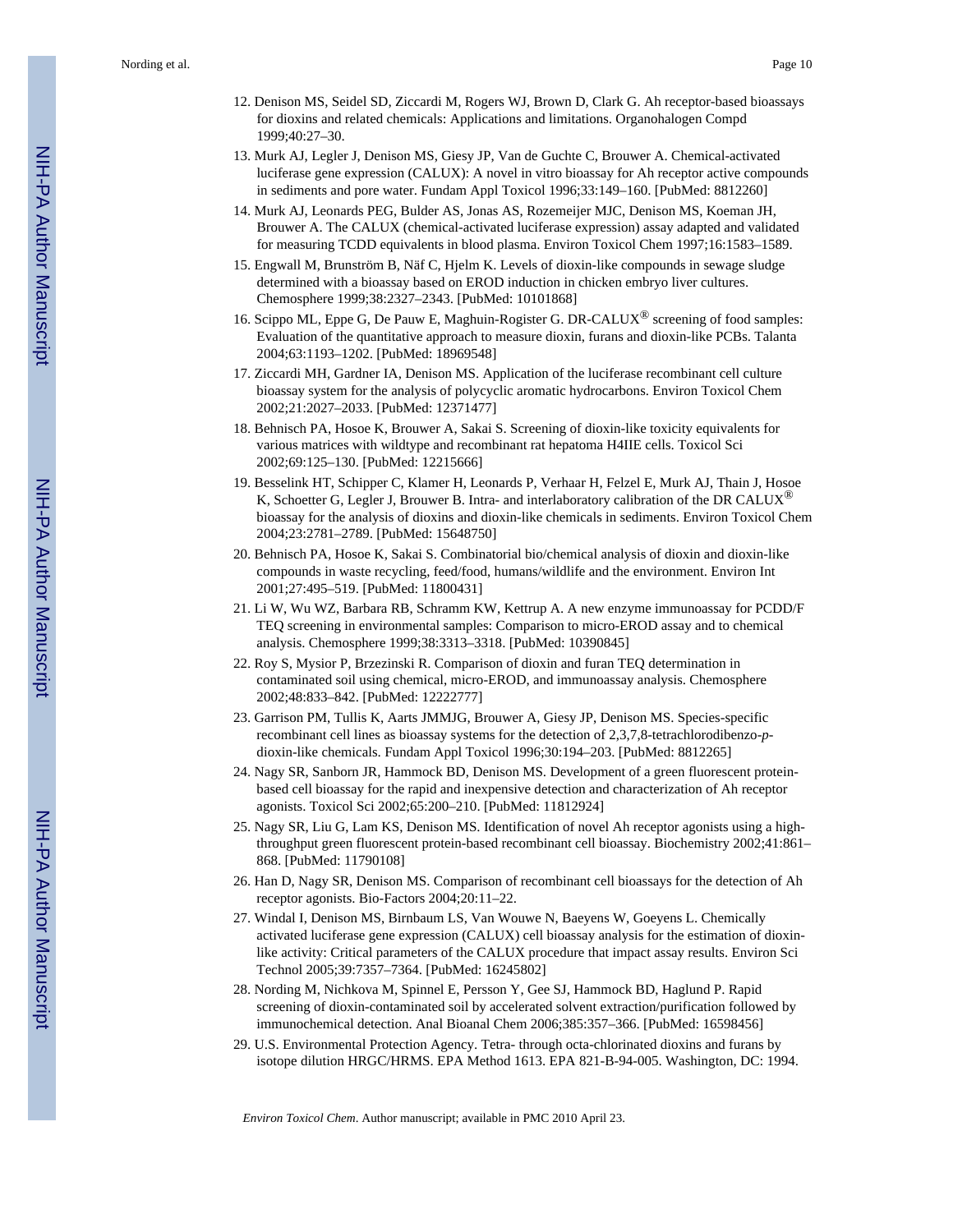- 12. Denison MS, Seidel SD, Ziccardi M, Rogers WJ, Brown D, Clark G. Ah receptor-based bioassays for dioxins and related chemicals: Applications and limitations. Organohalogen Compd 1999;40:27–30.
- 13. Murk AJ, Legler J, Denison MS, Giesy JP, Van de Guchte C, Brouwer A. Chemical-activated luciferase gene expression (CALUX): A novel in vitro bioassay for Ah receptor active compounds in sediments and pore water. Fundam Appl Toxicol 1996;33:149–160. [PubMed: 8812260]
- 14. Murk AJ, Leonards PEG, Bulder AS, Jonas AS, Rozemeijer MJC, Denison MS, Koeman JH, Brouwer A. The CALUX (chemical-activated luciferase expression) assay adapted and validated for measuring TCDD equivalents in blood plasma. Environ Toxicol Chem 1997;16:1583–1589.
- 15. Engwall M, Brunström B, Näf C, Hjelm K. Levels of dioxin-like compounds in sewage sludge determined with a bioassay based on EROD induction in chicken embryo liver cultures. Chemosphere 1999;38:2327–2343. [PubMed: 10101868]
- 16. Scippo ML, Eppe G, De Pauw E, Maghuin-Rogister G. DR-CALUX<sup>®</sup> screening of food samples: Evaluation of the quantitative approach to measure dioxin, furans and dioxin-like PCBs. Talanta 2004;63:1193–1202. [PubMed: 18969548]
- 17. Ziccardi MH, Gardner IA, Denison MS. Application of the luciferase recombinant cell culture bioassay system for the analysis of polycyclic aromatic hydrocarbons. Environ Toxicol Chem 2002;21:2027–2033. [PubMed: 12371477]
- 18. Behnisch PA, Hosoe K, Brouwer A, Sakai S. Screening of dioxin-like toxicity equivalents for various matrices with wildtype and recombinant rat hepatoma H4IIE cells. Toxicol Sci 2002;69:125–130. [PubMed: 12215666]
- 19. Besselink HT, Schipper C, Klamer H, Leonards P, Verhaar H, Felzel E, Murk AJ, Thain J, Hosoe K, Schoetter G, Legler J, Brouwer B. Intra- and interlaboratory calibration of the DR CALUX<sup>®</sup> bioassay for the analysis of dioxins and dioxin-like chemicals in sediments. Environ Toxicol Chem 2004;23:2781–2789. [PubMed: 15648750]
- 20. Behnisch PA, Hosoe K, Sakai S. Combinatorial bio/chemical analysis of dioxin and dioxin-like compounds in waste recycling, feed/food, humans/wildlife and the environment. Environ Int 2001;27:495–519. [PubMed: 11800431]
- 21. Li W, Wu WZ, Barbara RB, Schramm KW, Kettrup A. A new enzyme immunoassay for PCDD/F TEQ screening in environmental samples: Comparison to micro-EROD assay and to chemical analysis. Chemosphere 1999;38:3313–3318. [PubMed: 10390845]
- 22. Roy S, Mysior P, Brzezinski R. Comparison of dioxin and furan TEQ determination in contaminated soil using chemical, micro-EROD, and immunoassay analysis. Chemosphere 2002;48:833–842. [PubMed: 12222777]
- 23. Garrison PM, Tullis K, Aarts JMMJG, Brouwer A, Giesy JP, Denison MS. Species-specific recombinant cell lines as bioassay systems for the detection of 2,3,7,8-tetrachlorodibenzo-*p*dioxin-like chemicals. Fundam Appl Toxicol 1996;30:194–203. [PubMed: 8812265]
- 24. Nagy SR, Sanborn JR, Hammock BD, Denison MS. Development of a green fluorescent proteinbased cell bioassay for the rapid and inexpensive detection and characterization of Ah receptor agonists. Toxicol Sci 2002;65:200–210. [PubMed: 11812924]
- 25. Nagy SR, Liu G, Lam KS, Denison MS. Identification of novel Ah receptor agonists using a highthroughput green fluorescent protein-based recombinant cell bioassay. Biochemistry 2002;41:861– 868. [PubMed: 11790108]
- 26. Han D, Nagy SR, Denison MS. Comparison of recombinant cell bioassays for the detection of Ah receptor agonists. Bio-Factors 2004;20:11–22.
- 27. Windal I, Denison MS, Birnbaum LS, Van Wouwe N, Baeyens W, Goeyens L. Chemically activated luciferase gene expression (CALUX) cell bioassay analysis for the estimation of dioxinlike activity: Critical parameters of the CALUX procedure that impact assay results. Environ Sci Technol 2005;39:7357–7364. [PubMed: 16245802]
- 28. Nording M, Nichkova M, Spinnel E, Persson Y, Gee SJ, Hammock BD, Haglund P. Rapid screening of dioxin-contaminated soil by accelerated solvent extraction/purification followed by immunochemical detection. Anal Bioanal Chem 2006;385:357–366. [PubMed: 16598456]
- 29. U.S. Environmental Protection Agency. Tetra- through octa-chlorinated dioxins and furans by isotope dilution HRGC/HRMS. EPA Method 1613. EPA 821-B-94-005. Washington, DC: 1994.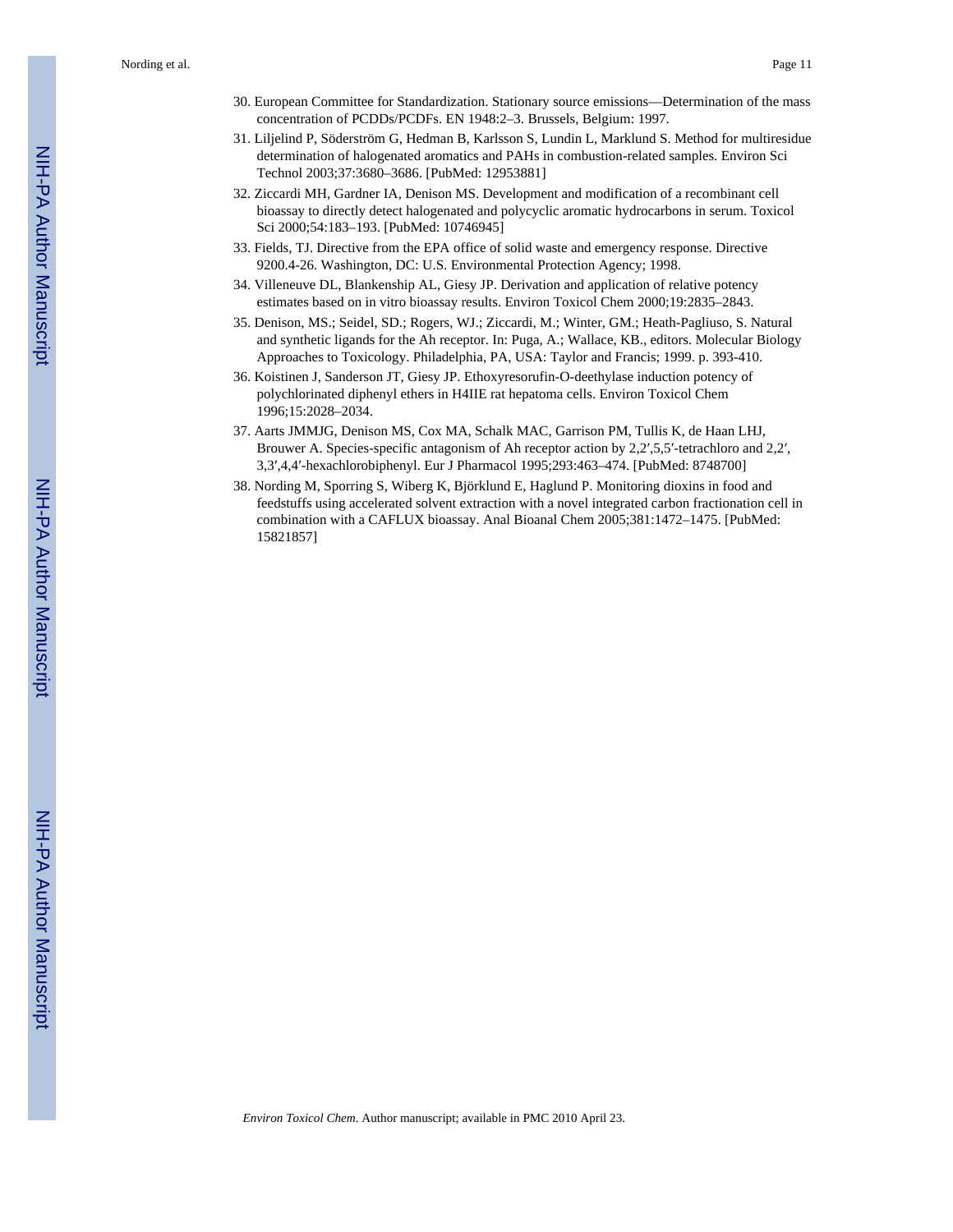Nording et al. **Page 11** 

- 30. European Committee for Standardization. Stationary source emissions—Determination of the mass concentration of PCDDs/PCDFs. EN 1948:2–3. Brussels, Belgium: 1997.
- 31. Liljelind P, Söderström G, Hedman B, Karlsson S, Lundin L, Marklund S. Method for multiresidue determination of halogenated aromatics and PAHs in combustion-related samples. Environ Sci Technol 2003;37:3680–3686. [PubMed: 12953881]
- 32. Ziccardi MH, Gardner IA, Denison MS. Development and modification of a recombinant cell bioassay to directly detect halogenated and polycyclic aromatic hydrocarbons in serum. Toxicol Sci 2000;54:183–193. [PubMed: 10746945]
- 33. Fields, TJ. Directive from the EPA office of solid waste and emergency response. Directive 9200.4-26. Washington, DC: U.S. Environmental Protection Agency; 1998.
- 34. Villeneuve DL, Blankenship AL, Giesy JP. Derivation and application of relative potency estimates based on in vitro bioassay results. Environ Toxicol Chem 2000;19:2835–2843.
- 35. Denison, MS.; Seidel, SD.; Rogers, WJ.; Ziccardi, M.; Winter, GM.; Heath-Pagliuso, S. Natural and synthetic ligands for the Ah receptor. In: Puga, A.; Wallace, KB., editors. Molecular Biology Approaches to Toxicology. Philadelphia, PA, USA: Taylor and Francis; 1999. p. 393-410.
- 36. Koistinen J, Sanderson JT, Giesy JP. Ethoxyresorufin-O-deethylase induction potency of polychlorinated diphenyl ethers in H4IIE rat hepatoma cells. Environ Toxicol Chem 1996;15:2028–2034.
- 37. Aarts JMMJG, Denison MS, Cox MA, Schalk MAC, Garrison PM, Tullis K, de Haan LHJ, Brouwer A. Species-specific antagonism of Ah receptor action by 2,2',5,5'-tetrachloro and 2,2', 3,3′,4,4′-hexachlorobiphenyl. Eur J Pharmacol 1995;293:463–474. [PubMed: 8748700]
- 38. Nording M, Sporring S, Wiberg K, Björklund E, Haglund P. Monitoring dioxins in food and feedstuffs using accelerated solvent extraction with a novel integrated carbon fractionation cell in combination with a CAFLUX bioassay. Anal Bioanal Chem 2005;381:1472–1475. [PubMed: 15821857]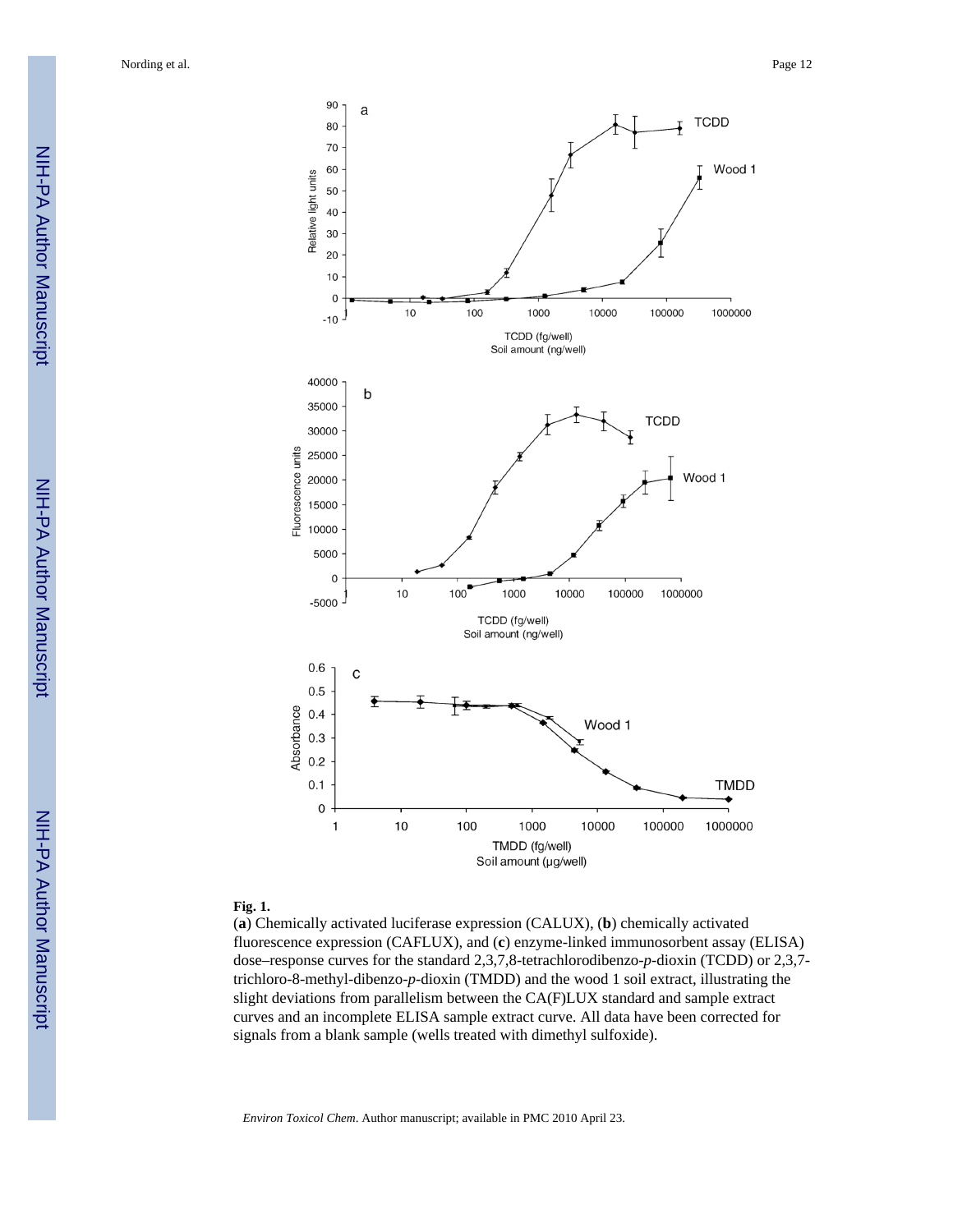

#### **Fig. 1.**

(**a**) Chemically activated luciferase expression (CALUX), (**b**) chemically activated fluorescence expression (CAFLUX), and (**c**) enzyme-linked immunosorbent assay (ELISA) dose–response curves for the standard 2,3,7,8-tetrachlorodibenzo-*p*-dioxin (TCDD) or 2,3,7 trichloro-8-methyl-dibenzo-*p*-dioxin (TMDD) and the wood 1 soil extract, illustrating the slight deviations from parallelism between the CA(F)LUX standard and sample extract curves and an incomplete ELISA sample extract curve. All data have been corrected for signals from a blank sample (wells treated with dimethyl sulfoxide).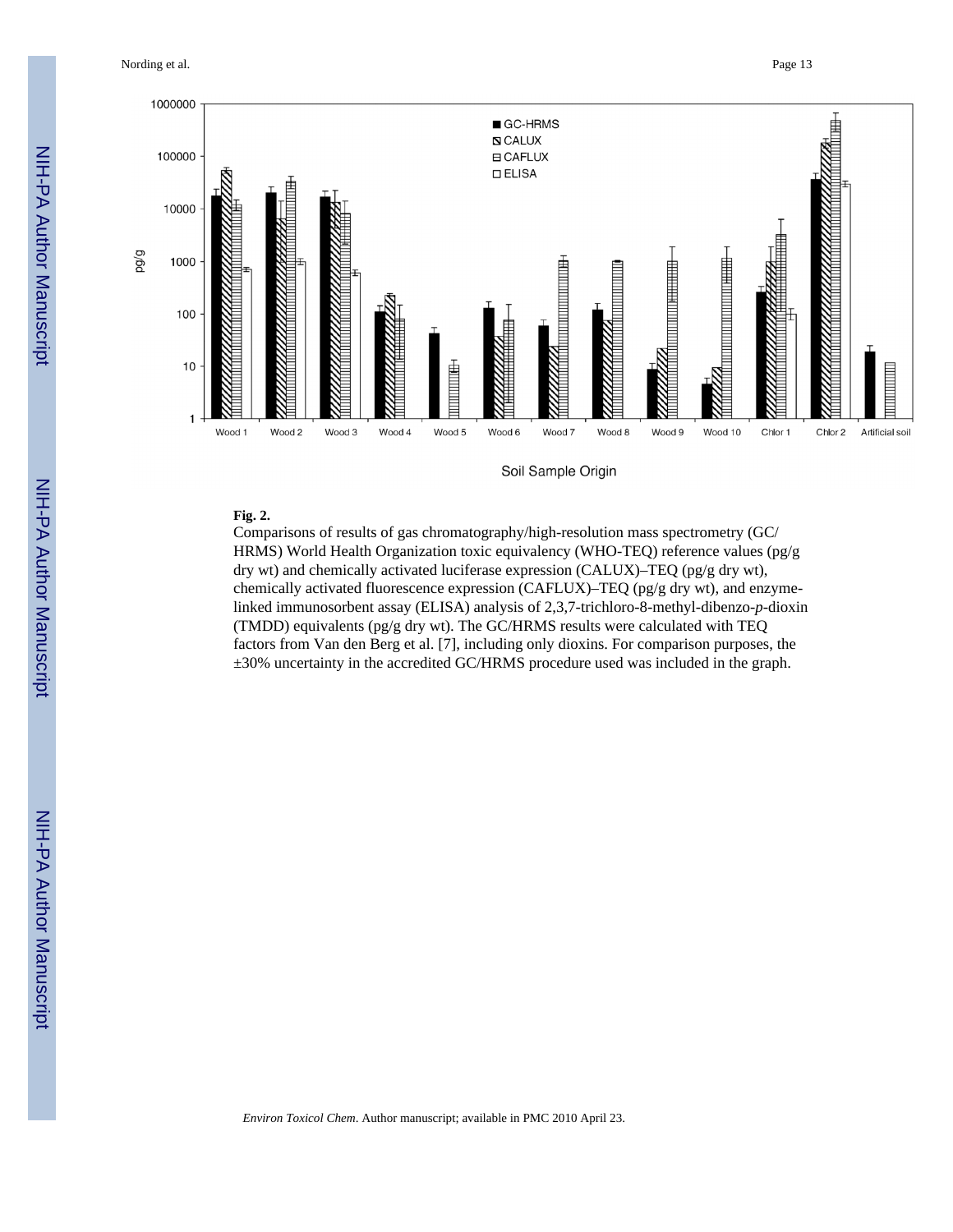Nording et al. **Page 13** 



Soil Sample Origin

## **Fig. 2.**

Comparisons of results of gas chromatography/high-resolution mass spectrometry (GC/ HRMS) World Health Organization toxic equivalency (WHO-TEQ) reference values (pg/g dry wt) and chemically activated luciferase expression (CALUX)–TEQ (pg/g dry wt), chemically activated fluorescence expression (CAFLUX)–TEQ (pg/g dry wt), and enzymelinked immunosorbent assay (ELISA) analysis of 2,3,7-trichloro-8-methyl-dibenzo-*p*-dioxin (TMDD) equivalents (pg/g dry wt). The GC/HRMS results were calculated with TEQ factors from Van den Berg et al. [7], including only dioxins. For comparison purposes, the ±30% uncertainty in the accredited GC/HRMS procedure used was included in the graph.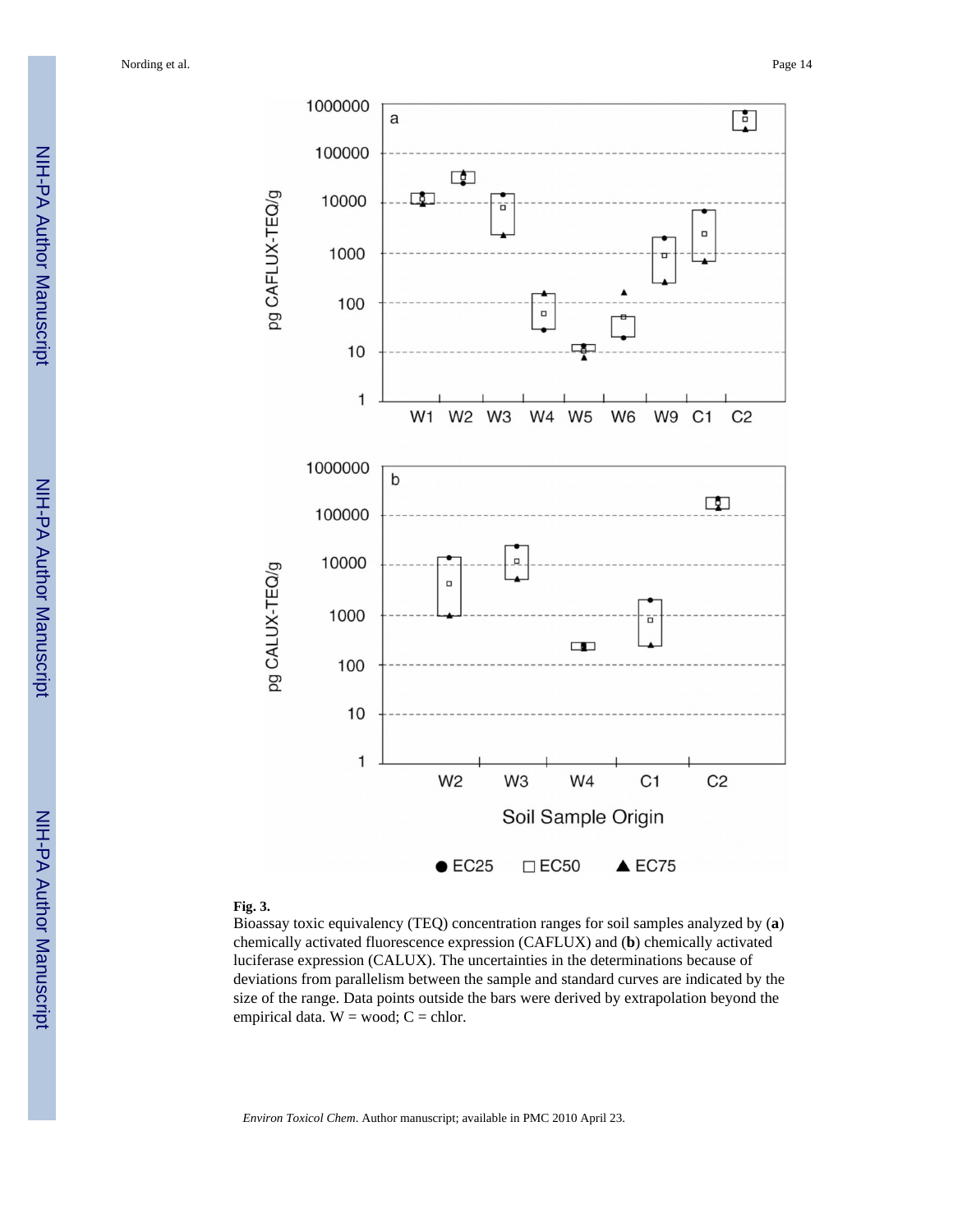Nording et al. **Page 14** 



#### **Fig. 3.**

Bioassay toxic equivalency (TEQ) concentration ranges for soil samples analyzed by (**a**) chemically activated fluorescence expression (CAFLUX) and (**b**) chemically activated luciferase expression (CALUX). The uncertainties in the determinations because of deviations from parallelism between the sample and standard curves are indicated by the size of the range. Data points outside the bars were derived by extrapolation beyond the empirical data.  $W = wood$ ;  $C = chlor$ .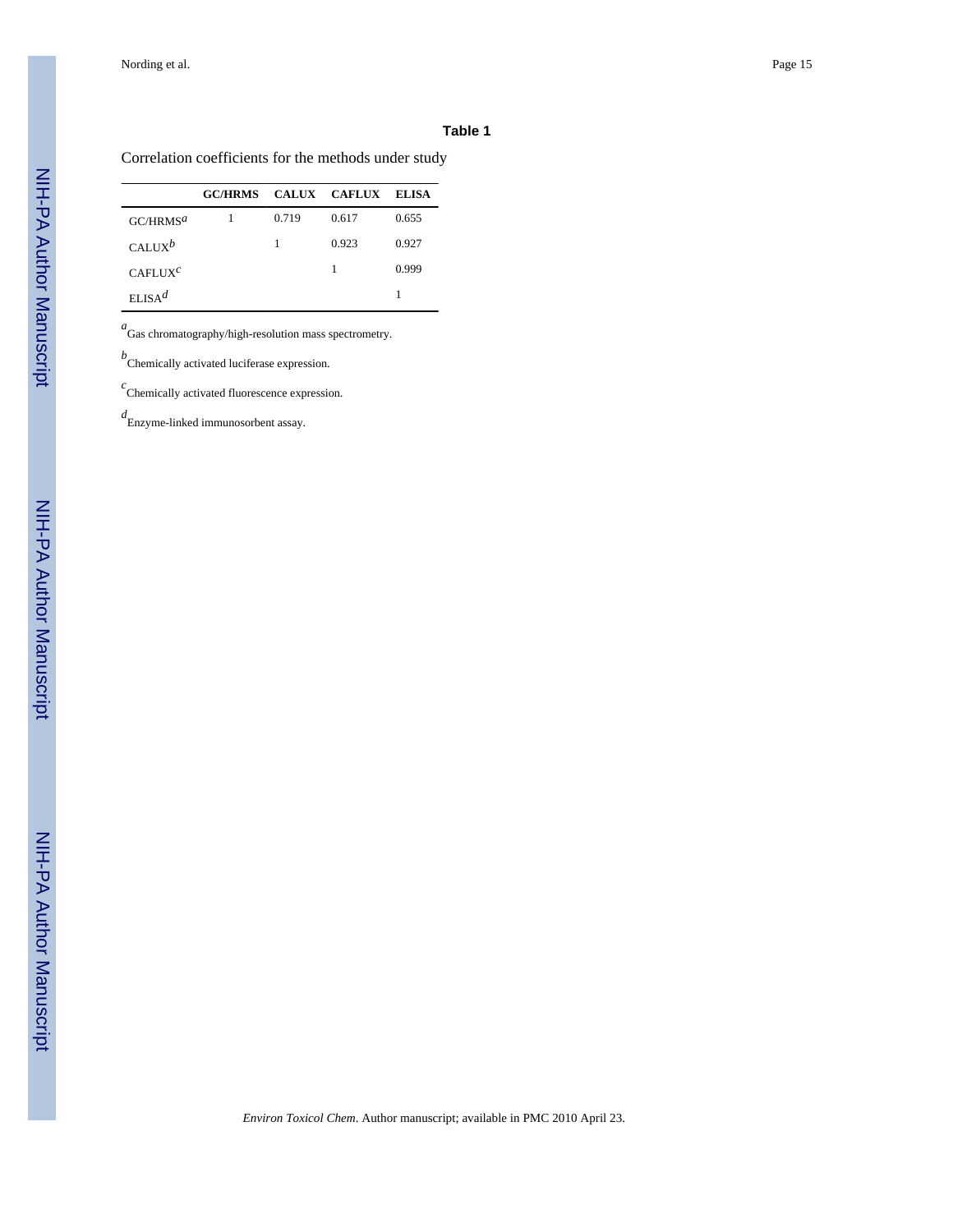#### **Table 1**

Correlation coefficients for the methods under study

|                      | <b>GC/HRMS CALUX CAFLUX</b> |       |       | ELISA |
|----------------------|-----------------------------|-------|-------|-------|
| GCMRMS <sup>a</sup>  |                             | 0.719 | 0.617 | 0.655 |
| CALIX <sup>b</sup>   |                             |       | 0.923 | 0.927 |
| CAFLIIX <sup>C</sup> |                             |       | 1     | 0.999 |
| ELSA <sup>d</sup>    |                             |       |       | 1     |

*a* Gas chromatography/high-resolution mass spectrometry.

*b* Chemically activated luciferase expression.

*c* Chemically activated fluorescence expression.

*d* Enzyme-linked immunosorbent assay.